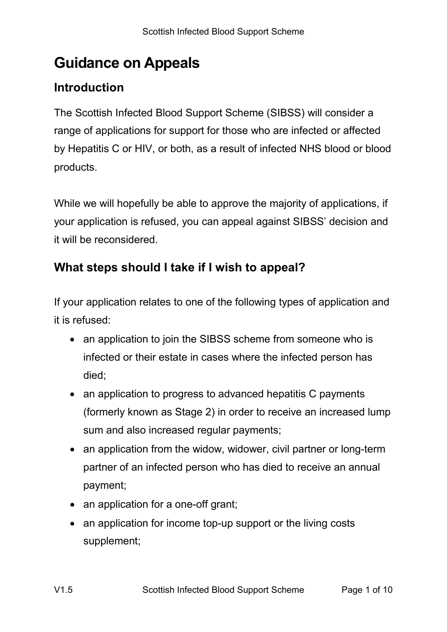# **Guidance on Appeals**

# **Introduction**

The Scottish Infected Blood Support Scheme (SIBSS) will consider a range of applications for support for those who are infected or affected by Hepatitis C or HIV, or both, as a result of infected NHS blood or blood products.

While we will hopefully be able to approve the majority of applications, if your application is refused, you can appeal against SIBSS' decision and it will be reconsidered.

# **What steps should I take if I wish to appeal?**

If your application relates to one of the following types of application and it is refused:

- an application to join the SIBSS scheme from someone who is infected or their estate in cases where the infected person has died;
- an application to progress to advanced hepatitis C payments (formerly known as Stage 2) in order to receive an increased lump sum and also increased regular payments;
- an application from the widow, widower, civil partner or long-term partner of an infected person who has died to receive an annual payment;
- an application for a one-off grant;
- an application for income top-up support or the living costs supplement;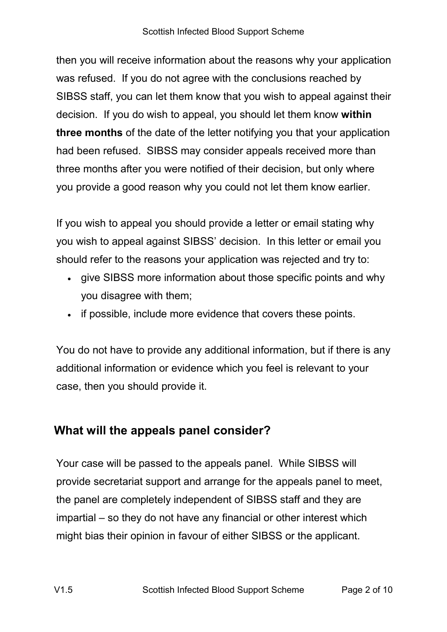then you will receive information about the reasons why your application was refused. If you do not agree with the conclusions reached by SIBSS staff, you can let them know that you wish to appeal against their decision. If you do wish to appeal, you should let them know **within three months** of the date of the letter notifying you that your application had been refused. SIBSS may consider appeals received more than three months after you were notified of their decision, but only where you provide a good reason why you could not let them know earlier.

If you wish to appeal you should provide a letter or email stating why you wish to appeal against SIBSS' decision. In this letter or email you should refer to the reasons your application was rejected and try to:

- give SIBSS more information about those specific points and why you disagree with them;
- if possible, include more evidence that covers these points.

You do not have to provide any additional information, but if there is any additional information or evidence which you feel is relevant to your case, then you should provide it.

## **What will the appeals panel consider?**

Your case will be passed to the appeals panel. While SIBSS will provide secretariat support and arrange for the appeals panel to meet, the panel are completely independent of SIBSS staff and they are impartial – so they do not have any financial or other interest which might bias their opinion in favour of either SIBSS or the applicant.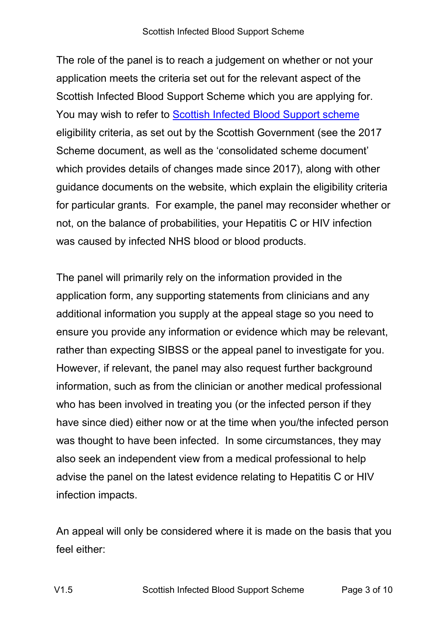The role of the panel is to reach a judgement on whether or not your application meets the criteria set out for the relevant aspect of the Scottish Infected Blood Support Scheme which you are applying for. You may wish to refer to [Scottish Infected Blood Support scheme](https://www.gov.scot/policies/illnesses-and-long-term-conditions/infected-blood/) eligibility criteria, as set out by the Scottish Government (see the 2017 Scheme document, as well as the 'consolidated scheme document' which provides details of changes made since 2017), along with other guidance documents on the website, which explain the eligibility criteria for particular grants. For example, the panel may reconsider whether or not, on the balance of probabilities, your Hepatitis C or HIV infection was caused by infected NHS blood or blood products.

The panel will primarily rely on the information provided in the application form, any supporting statements from clinicians and any additional information you supply at the appeal stage so you need to ensure you provide any information or evidence which may be relevant, rather than expecting SIBSS or the appeal panel to investigate for you. However, if relevant, the panel may also request further background information, such as from the clinician or another medical professional who has been involved in treating you (or the infected person if they have since died) either now or at the time when you/the infected person was thought to have been infected. In some circumstances, they may also seek an independent view from a medical professional to help advise the panel on the latest evidence relating to Hepatitis C or HIV infection impacts.

An appeal will only be considered where it is made on the basis that you feel either: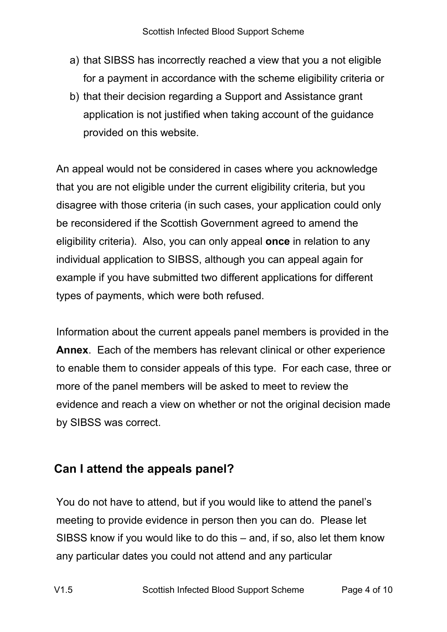- a) that SIBSS has incorrectly reached a view that you a not eligible for a payment in accordance with the scheme eligibility criteria or
- b) that their decision regarding a Support and Assistance grant application is not justified when taking account of the guidance provided on this website.

An appeal would not be considered in cases where you acknowledge that you are not eligible under the current eligibility criteria, but you disagree with those criteria (in such cases, your application could only be reconsidered if the Scottish Government agreed to amend the eligibility criteria). Also, you can only appeal **once** in relation to any individual application to SIBSS, although you can appeal again for example if you have submitted two different applications for different types of payments, which were both refused.

Information about the current appeals panel members is provided in the **Annex**. Each of the members has relevant clinical or other experience to enable them to consider appeals of this type. For each case, three or more of the panel members will be asked to meet to review the evidence and reach a view on whether or not the original decision made by SIBSS was correct.

## **Can I attend the appeals panel?**

You do not have to attend, but if you would like to attend the panel's meeting to provide evidence in person then you can do. Please let SIBSS know if you would like to do this – and, if so, also let them know any particular dates you could not attend and any particular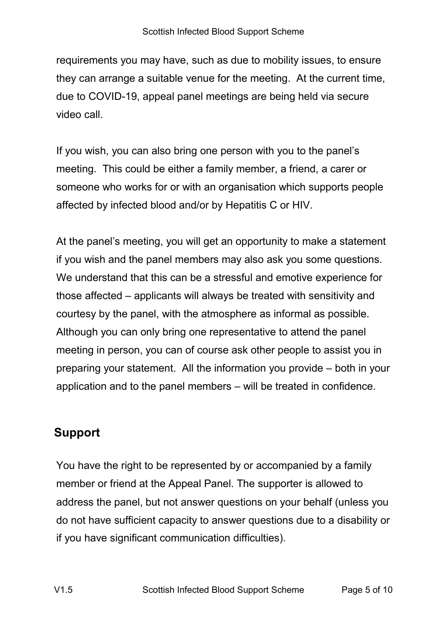requirements you may have, such as due to mobility issues, to ensure they can arrange a suitable venue for the meeting. At the current time, due to COVID-19, appeal panel meetings are being held via secure video call.

If you wish, you can also bring one person with you to the panel's meeting. This could be either a family member, a friend, a carer or someone who works for or with an organisation which supports people affected by infected blood and/or by Hepatitis C or HIV.

At the panel's meeting, you will get an opportunity to make a statement if you wish and the panel members may also ask you some questions. We understand that this can be a stressful and emotive experience for those affected – applicants will always be treated with sensitivity and courtesy by the panel, with the atmosphere as informal as possible. Although you can only bring one representative to attend the panel meeting in person, you can of course ask other people to assist you in preparing your statement. All the information you provide – both in your application and to the panel members – will be treated in confidence.

# **Support**

You have the right to be represented by or accompanied by a family member or friend at the Appeal Panel. The supporter is allowed to address the panel, but not answer questions on your behalf (unless you do not have sufficient capacity to answer questions due to a disability or if you have significant communication difficulties).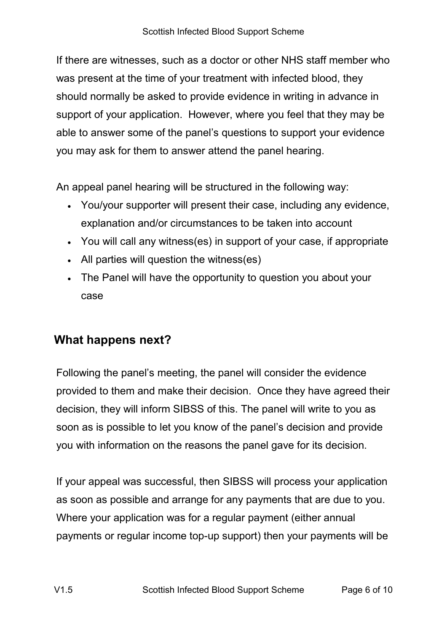If there are witnesses, such as a doctor or other NHS staff member who was present at the time of your treatment with infected blood, they should normally be asked to provide evidence in writing in advance in support of your application. However, where you feel that they may be able to answer some of the panel's questions to support your evidence you may ask for them to answer attend the panel hearing.

An appeal panel hearing will be structured in the following way:

- You/your supporter will present their case, including any evidence, explanation and/or circumstances to be taken into account
- You will call any witness(es) in support of your case, if appropriate
- All parties will question the witness(es)
- The Panel will have the opportunity to question you about your case

# **What happens next?**

Following the panel's meeting, the panel will consider the evidence provided to them and make their decision. Once they have agreed their decision, they will inform SIBSS of this. The panel will write to you as soon as is possible to let you know of the panel's decision and provide you with information on the reasons the panel gave for its decision.

If your appeal was successful, then SIBSS will process your application as soon as possible and arrange for any payments that are due to you. Where your application was for a regular payment (either annual payments or regular income top-up support) then your payments will be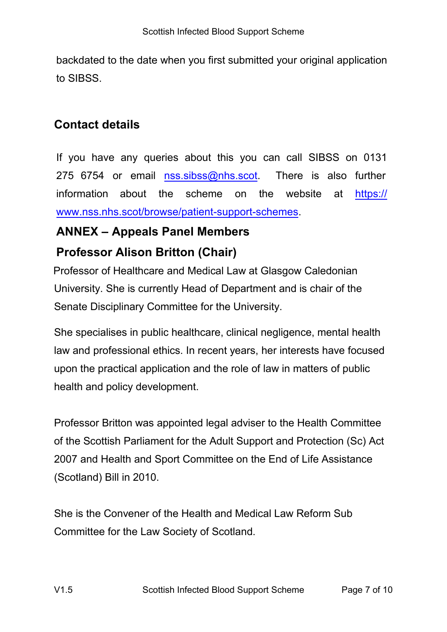backdated to the date when you first submitted your original application to SIBSS.

#### **Contact details**

If you have any queries about this you can call SIBSS on 0131 275 6754 or email  $nss.sibss@nhs.scot$  $nss.sibss@nhs.scot$  There is also further information about the scheme on the [website](https://www.nss.nhs.scot/browse/patient-support-schemes) at https:// www.nss.nhs.scot/browse/patient-support-schemes.

## **ANNEX – Appeals Panel Members**

## **Professor Alison Britton (Chair)**

Professor of Healthcare and Medical Law at Glasgow Caledonian University. She is currently Head of Department and is chair of the Senate Disciplinary Committee for the University.

She specialises in public healthcare, clinical negligence, mental health law and professional ethics. In recent years, her interests have focused upon the practical application and the role of law in matters of public health and policy development.

Professor Britton was appointed legal adviser to the Health Committee of the Scottish Parliament for the Adult Support and Protection (Sc) Act 2007 and Health and Sport Committee on the End of Life Assistance (Scotland) Bill in 2010.

She is the Convener of the Health and Medical Law Reform Sub Committee for the Law Society of Scotland.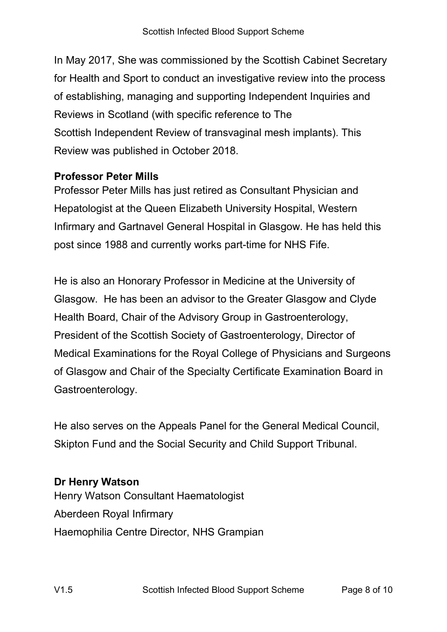In May 2017, She was commissioned by the Scottish Cabinet Secretary for Health and Sport to conduct an investigative review into the process of establishing, managing and supporting Independent Inquiries and Reviews in Scotland (with specific reference to The Scottish Independent Review of transvaginal mesh implants). This Review was published in October 2018.

#### **Professor Peter Mills**

Professor Peter Mills has just retired as Consultant Physician and Hepatologist at the Queen Elizabeth University Hospital, Western Infirmary and Gartnavel General Hospital in Glasgow. He has held this post since 1988 and currently works part-time for NHS Fife.

He is also an Honorary Professor in Medicine at the University of Glasgow. He has been an advisor to the Greater Glasgow and Clyde Health Board, Chair of the Advisory Group in Gastroenterology, President of the Scottish Society of Gastroenterology, Director of Medical Examinations for the Royal College of Physicians and Surgeons of Glasgow and Chair of the Specialty Certificate Examination Board in Gastroenterology.

He also serves on the Appeals Panel for the General Medical Council, Skipton Fund and the Social Security and Child Support Tribunal.

#### **Dr Henry Watson**

Henry Watson Consultant Haematologist Aberdeen Royal Infirmary Haemophilia Centre Director, NHS Grampian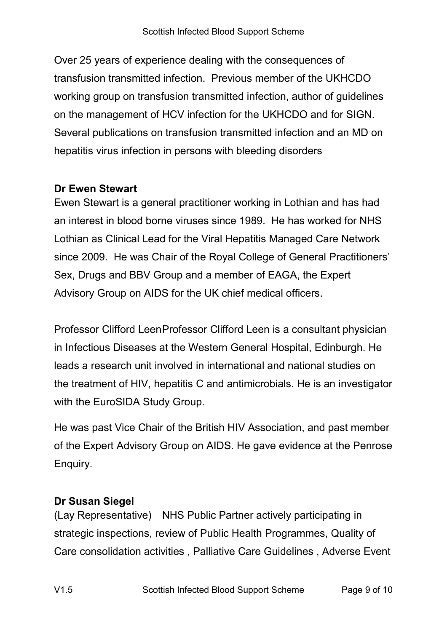Over 25 years of experience dealing with the consequences of transfusion transmitted infection. Previous member of the UKHCDO working group on transfusion transmitted infection, author of guidelines on the management of HCV infection for the UKHCDO and for SIGN. Several publications on transfusion transmitted infection and an MD on hepatitis virus infection in persons with bleeding disorders

#### **Dr Ewen Stewart**

Ewen Stewart is a general practitioner working in Lothian and has had an interest in blood borne viruses since 1989. He has worked for NHS Lothian as Clinical Lead for the Viral Hepatitis Managed Care Network since 2009. He was Chair of the Royal College of General Practitioners' Sex, Drugs and BBV Group and a member of EAGA, the Expert Advisory Group on AIDS for the UK chief medical officers.

Professor Clifford LeenProfessor Clifford Leen is a consultant physician in Infectious Diseases at the Western General Hospital, Edinburgh. He leads a research unit involved in international and national studies on the treatment of HIV, hepatitis C and antimicrobials. He is an investigator with the EuroSIDA Study Group.

He was past Vice Chair of the British HIV Association, and past member of the Expert Advisory Group on AIDS. He gave evidence at the Penrose Enquiry.

#### **Dr Susan Siegel**

(Lay Representative) NHS Public Partner actively participating in strategic inspections, review of Public Health Programmes, Quality of Care consolidation activities , Palliative Care Guidelines , Adverse Event